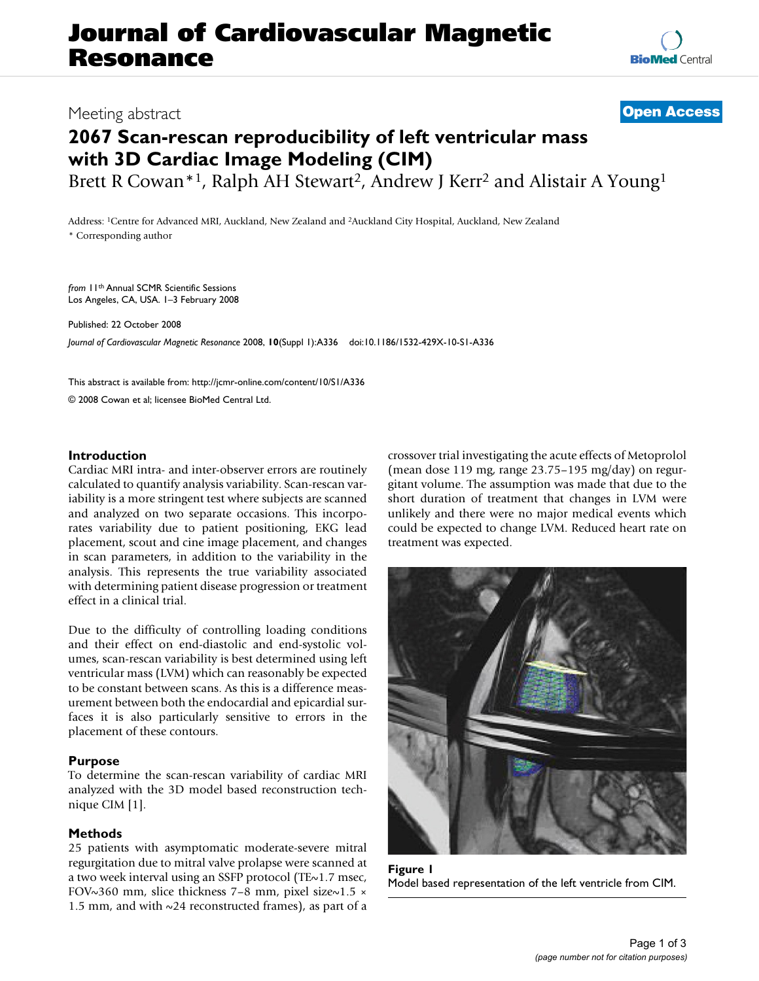## **Journal of Cardiovascular Magnetic Resonance**

### Meeting abstract **[Open Access](http://www.biomedcentral.com/info/about/charter/)**

# **2067 Scan-rescan reproducibility of left ventricular mass with 3D Cardiac Image Modeling (CIM)**

Brett R Cowan<sup>\*1</sup>, Ralph AH Stewart<sup>2</sup>, Andrew J Kerr<sup>2</sup> and Alistair A Young<sup>1</sup>

Address: 1Centre for Advanced MRI, Auckland, New Zealand and 2Auckland City Hospital, Auckland, New Zealand \* Corresponding author

*from* 11th Annual SCMR Scientific Sessions Los Angeles, CA, USA. 1–3 February 2008

Published: 22 October 2008

*Journal of Cardiovascular Magnetic Resonance* 2008, **10**(Suppl 1):A336 doi:10.1186/1532-429X-10-S1-A336

[This abstract is available from: http://jcmr-online.com/content/10/S1/A336](http://jcmr-online.com/content/10/S1/A336) © 2008 Cowan et al; licensee BioMed Central Ltd.

#### **Introduction**

Cardiac MRI intra- and inter-observer errors are routinely calculated to quantify analysis variability. Scan-rescan variability is a more stringent test where subjects are scanned and analyzed on two separate occasions. This incorporates variability due to patient positioning, EKG lead placement, scout and cine image placement, and changes in scan parameters, in addition to the variability in the analysis. This represents the true variability associated with determining patient disease progression or treatment effect in a clinical trial.

Due to the difficulty of controlling loading conditions and their effect on end-diastolic and end-systolic volumes, scan-rescan variability is best determined using left ventricular mass (LVM) which can reasonably be expected to be constant between scans. As this is a difference measurement between both the endocardial and epicardial surfaces it is also particularly sensitive to errors in the placement of these contours.

#### **Purpose**

To determine the scan-rescan variability of cardiac MRI analyzed with the 3D model based reconstruction technique CIM [1].

#### **Methods**

25 patients with asymptomatic moderate-severe mitral regurgitation due to mitral valve prolapse were scanned at a two week interval using an SSFP protocol (TE~1.7 msec, FOV~360 mm, slice thickness 7–8 mm, pixel size~1.5  $\times$ 1.5 mm, and with  $\sim$ 24 reconstructed frames), as part of a crossover trial investigating the acute effects of Metoprolol (mean dose 119 mg, range 23.75–195 mg/day) on regurgitant volume. The assumption was made that due to the short duration of treatment that changes in LVM were unlikely and there were no major medical events which could be expected to change LVM. Reduced heart rate on treatment was expected.



Figure 1 Model based representation of the left ventricle from CIM.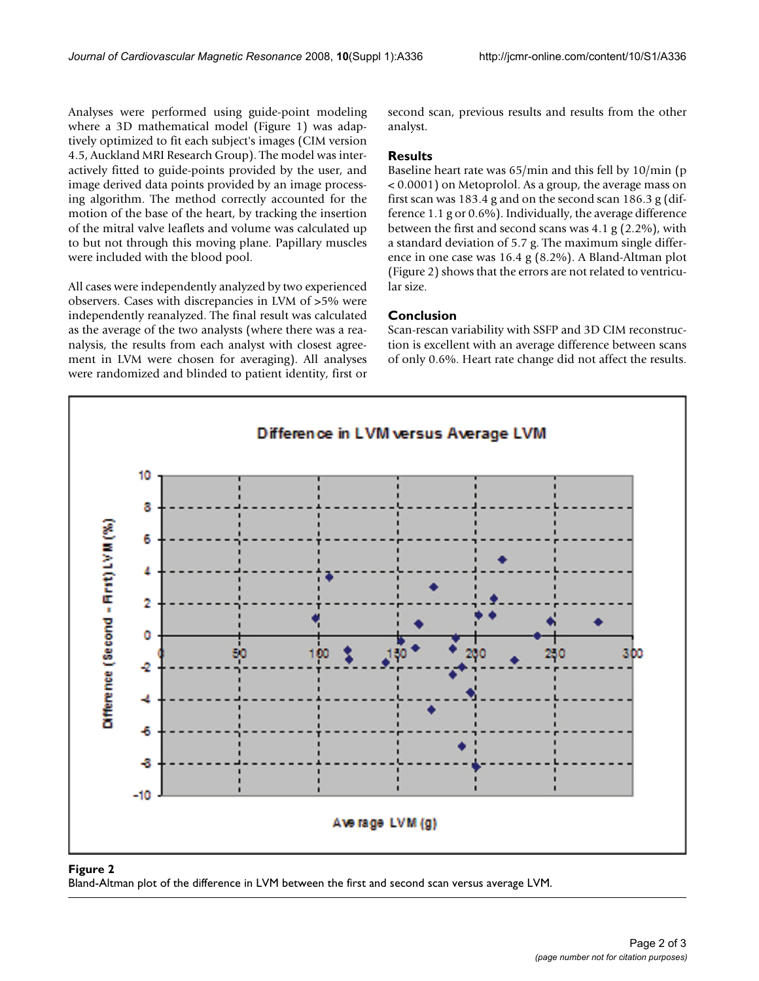Analyses were performed using guide-point modeling where a 3D mathematical model (Figure 1) was adaptively optimized to fit each subject's images (CIM version 4.5, Auckland MRI Research Group). The model was interactively fitted to guide-points provided by the user, and image derived data points provided by an image processing algorithm. The method correctly accounted for the motion of the base of the heart, by tracking the insertion of the mitral valve leaflets and volume was calculated up to but not through this moving plane. Papillary muscles were included with the blood pool.

All cases were independently analyzed by two experienced observers. Cases with discrepancies in LVM of >5% were independently reanalyzed. The final result was calculated as the average of the two analysts (where there was a reanalysis, the results from each analyst with closest agreement in LVM were chosen for averaging). All analyses were randomized and blinded to patient identity, first or second scan, previous results and results from the other analyst.

### **Results**

Baseline heart rate was 65/min and this fell by 10/min (p < 0.0001) on Metoprolol. As a group, the average mass on first scan was 183.4 g and on the second scan 186.3 g (difference 1.1 g or 0.6%). Individually, the average difference between the first and second scans was 4.1 g (2.2%), with a standard deviation of 5.7 g. The maximum single difference in one case was 16.4 g (8.2%). A Bland-Altman plot (Figure 2) shows that the errors are not related to ventricular size.

### **Conclusion**

Scan-rescan variability with SSFP and 3D CIM reconstruction is excellent with an average difference between scans of only 0.6%. Heart rate change did not affect the results.



#### Bland-Altman plot of the difference in LVM betw **Figure 2** een the first and second scan versus average LVM

Bland-Altman plot of the difference in LVM between the first and second scan versus average LVM.